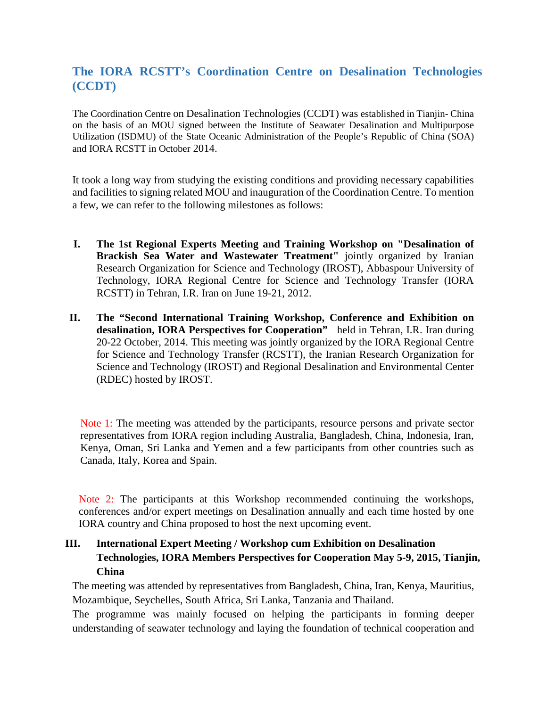## **The IORA RCSTT's Coordination Centre on Desalination Technologies (CCDT)**

The Coordination Centre on Desalination Technologies (CCDT) was established in Tianjin- China on the basis of an MOU signed between the Institute of Seawater Desalination and Multipurpose Utilization (ISDMU) of the State Oceanic Administration of the People's Republic of China (SOA) and IORA RCSTT in October 2014.

It took a long way from studying the existing conditions and providing necessary capabilities and facilities to signing related MOU and inauguration of the Coordination Centre. To mention a few, we can refer to the following milestones as follows:

- **I. The 1st Regional Experts Meeting and Training Workshop on "Desalination of Brackish Sea Water and Wastewater Treatment"** jointly organized by Iranian Research Organization for Science and Technology (IROST), Abbaspour University of Technology, IORA Regional Centre for Science and Technology Transfer (IORA RCSTT) in Tehran, I.R. Iran on June 19-21, 2012.
- **II. The "Second International Training Workshop, Conference and Exhibition on desalination, IORA Perspectives for Cooperation"** held in Tehran, I.R. Iran during 20-22 October, 2014. This meeting was jointly organized by the IORA Regional Centre for Science and Technology Transfer (RCSTT), the Iranian Research Organization for Science and Technology (IROST) and Regional Desalination and Environmental Center (RDEC) hosted by IROST.

Note 1: The meeting was attended by the participants, resource persons and private sector representatives from IORA region including Australia, Bangladesh, China, Indonesia, Iran, Kenya, Oman, Sri Lanka and Yemen and a few participants from other countries such as Canada, Italy, Korea and Spain.

Note 2: The participants at this Workshop recommended continuing the workshops, conferences and/or expert meetings on Desalination annually and each time hosted by one IORA country and China proposed to host the next upcoming event.

## **III. International Expert Meeting / Workshop cum Exhibition on Desalination Technologies, IORA Members Perspectives for Cooperation May 5-9, 2015, Tianjin, China**

The meeting was attended by representatives from Bangladesh, China, Iran, Kenya, Mauritius, Mozambique, Seychelles, South Africa, Sri Lanka, Tanzania and Thailand.

The programme was mainly focused on helping the participants in forming deeper understanding of seawater technology and laying the foundation of technical cooperation and